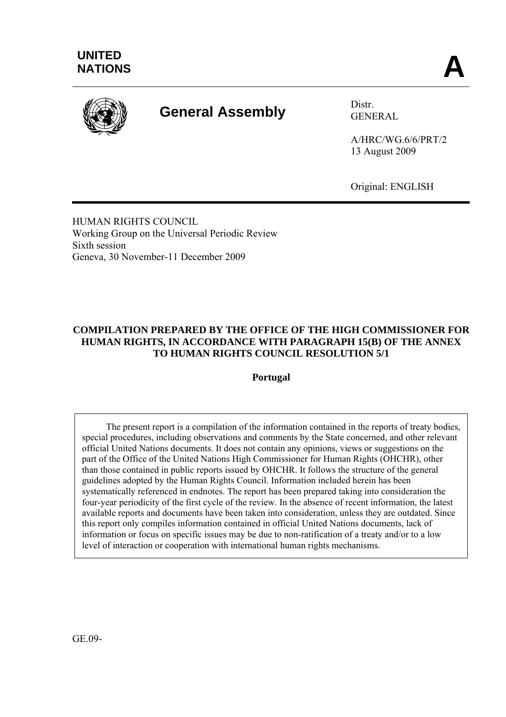

# **General Assembly** Distr.

GENERAL

A/HRC/WG.6/6/PRT/2 13 August 2009

Original: ENGLISH

HUMAN RIGHTS COUNCIL Working Group on the Universal Periodic Review Sixth session Geneva, 30 November-11 December 2009

### **COMPILATION PREPARED BY THE OFFICE OF THE HIGH COMMISSIONER FOR HUMAN RIGHTS, IN ACCORDANCE WITH PARAGRAPH 15(B) OF THE ANNEX TO HUMAN RIGHTS COUNCIL RESOLUTION 5/1**

**Portugal** 

 The present report is a compilation of the information contained in the reports of treaty bodies, special procedures, including observations and comments by the State concerned, and other relevant official United Nations documents. It does not contain any opinions, views or suggestions on the part of the Office of the United Nations High Commissioner for Human Rights (OHCHR), other than those contained in public reports issued by OHCHR. It follows the structure of the general guidelines adopted by the Human Rights Council. Information included herein has been systematically referenced in endnotes. The report has been prepared taking into consideration the four-year periodicity of the first cycle of the review. In the absence of recent information, the latest available reports and documents have been taken into consideration, unless they are outdated. Since this report only compiles information contained in official United Nations documents, lack of information or focus on specific issues may be due to non-ratification of a treaty and/or to a low level of interaction or cooperation with international human rights mechanisms.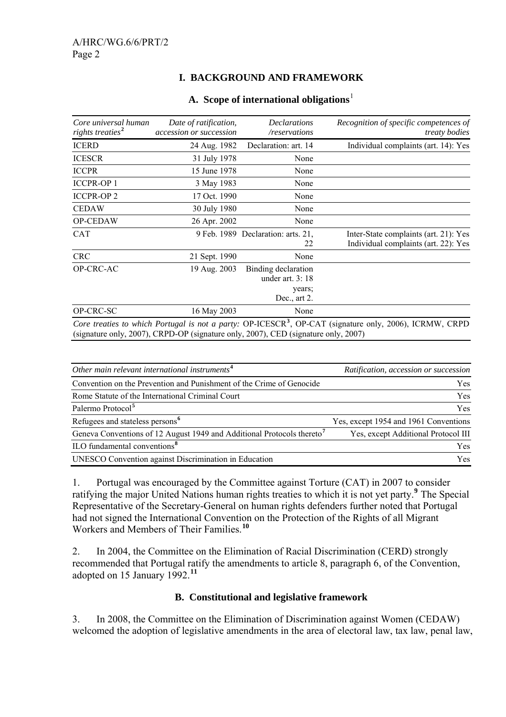### **I. BACKGROUND AND FRAMEWORK**

| Core universal human<br>rights treaties <sup>2</sup> | Date of ratification,<br>accession or succession | <b>Declarations</b><br>/reservations                                  | Recognition of specific competences of<br><i>treaty bodies</i>                                                      |
|------------------------------------------------------|--------------------------------------------------|-----------------------------------------------------------------------|---------------------------------------------------------------------------------------------------------------------|
| <b>ICERD</b>                                         | 24 Aug. 1982                                     | Declaration: art. 14                                                  | Individual complaints (art. 14): Yes                                                                                |
| <b>ICESCR</b>                                        | 31 July 1978                                     | None                                                                  |                                                                                                                     |
| <b>ICCPR</b>                                         | 15 June 1978                                     | None                                                                  |                                                                                                                     |
| <b>ICCPR-OP 1</b>                                    | 3 May 1983                                       | None                                                                  |                                                                                                                     |
| <b>ICCPR-OP2</b>                                     | 17 Oct. 1990                                     | None                                                                  |                                                                                                                     |
| <b>CEDAW</b>                                         | 30 July 1980                                     | None                                                                  |                                                                                                                     |
| OP-CEDAW                                             | 26 Apr. 2002                                     | None                                                                  |                                                                                                                     |
| <b>CAT</b>                                           |                                                  | 9 Feb. 1989 Declaration: arts. 21,<br>22                              | Inter-State complaints (art. 21): Yes<br>Individual complaints (art. 22): Yes                                       |
| <b>CRC</b>                                           | 21 Sept. 1990                                    | None                                                                  |                                                                                                                     |
| OP-CRC-AC                                            | 19 Aug. 2003                                     | Binding declaration<br>under art. $3:18$<br>years;<br>Dec., art $2$ . |                                                                                                                     |
| OP-CRC-SC                                            | 16 May 2003                                      | None                                                                  |                                                                                                                     |
|                                                      | $1.0007$ $(1.0007)(1.0007)$ $(1.0007)(1.0007)$   |                                                                       | Core treaties to which Portugal is not a party: OP-ICESCR <sup>3</sup> , OP-CAT (signature only, 2006), ICRMW, CRPD |

#### **A. Scope of international obligations**[1](#page-13-0)

(signature only, 2007), CRPD-OP (signature only, 2007), CED (signature only, 2007)

| Other main relevant international instruments <sup>4</sup>                         | Ratification, accession or succession |
|------------------------------------------------------------------------------------|---------------------------------------|
| Convention on the Prevention and Punishment of the Crime of Genocide               | <b>Yes</b>                            |
| Rome Statute of the International Criminal Court                                   | <b>Yes</b>                            |
| Palermo Protocol <sup>5</sup>                                                      | <b>Yes</b>                            |
| Refugees and stateless persons <sup>6</sup>                                        | Yes, except 1954 and 1961 Conventions |
| Geneva Conventions of 12 August 1949 and Additional Protocols thereto <sup>7</sup> | Yes, except Additional Protocol III   |
| ILO fundamental conventions <sup>8</sup>                                           | <b>Yes</b>                            |
| UNESCO Convention against Discrimination in Education                              | <b>Yes</b>                            |

1. Portugal was encouraged by the Committee against Torture (CAT) in 2007 to consider ratifying the major United Nations human rights treaties to which it is not yet party.**[9](#page-14-0)** The Special Representative of the Secretary-General on human rights defenders further noted that Portugal had not signed the International Convention on the Protection of the Rights of all Migrant Workers and Members of Their Families.**[10](#page-14-0)**

2. In 2004, the Committee on the Elimination of Racial Discrimination (CERD) strongly recommended that Portugal ratify the amendments to article 8, paragraph 6, of the Convention, adopted on 15 January 1992.**[11](#page-14-0)**

#### **B. Constitutional and legislative framework**

3. In 2008, the Committee on the Elimination of Discrimination against Women (CEDAW) welcomed the adoption of legislative amendments in the area of electoral law, tax law, penal law,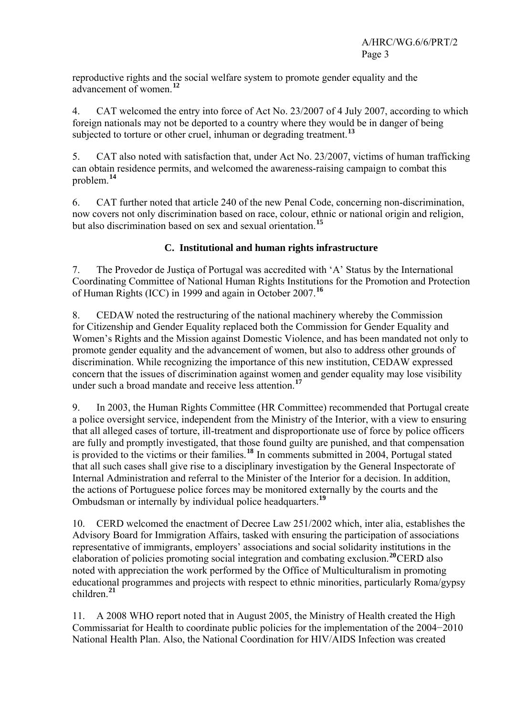reproductive rights and the social welfare system to promote gender equality and the advancement of women.**[12](#page-14-0)**

4. CAT welcomed the entry into force of Act No. 23/2007 of 4 July 2007, according to which foreign nationals may not be deported to a country where they would be in danger of being subjected to torture or other cruel, inhuman or degrading treatment.**[13](#page-14-0)**

5. CAT also noted with satisfaction that, under Act No. 23/2007, victims of human trafficking can obtain residence permits, and welcomed the awareness-raising campaign to combat this problem.**[14](#page-14-0)**

6. CAT further noted that article 240 of the new Penal Code, concerning non-discrimination, now covers not only discrimination based on race, colour, ethnic or national origin and religion, but also discrimination based on sex and sexual orientation.**[15](#page-14-0)**

# **C. Institutional and human rights infrastructure**

7. The Provedor de Justiça of Portugal was accredited with 'A' Status by the International Coordinating Committee of National Human Rights Institutions for the Promotion and Protection of Human Rights (ICC) in 1999 and again in October 2007.**[16](#page-14-0)**

8. CEDAW noted the restructuring of the national machinery whereby the Commission for Citizenship and Gender Equality replaced both the Commission for Gender Equality and Women's Rights and the Mission against Domestic Violence, and has been mandated not only to promote gender equality and the advancement of women, but also to address other grounds of discrimination. While recognizing the importance of this new institution, CEDAW expressed concern that the issues of discrimination against women and gender equality may lose visibility under such a broad mandate and receive less attention.**[17](#page-14-0)**

9. In 2003, the Human Rights Committee (HR Committee) recommended that Portugal create a police oversight service, independent from the Ministry of the Interior, with a view to ensuring that all alleged cases of torture, ill-treatment and disproportionate use of force by police officers are fully and promptly investigated, that those found guilty are punished, and that compensation is provided to the victims or their families.**[18](#page-14-0)** In comments submitted in 2004, Portugal stated that all such cases shall give rise to a disciplinary investigation by the General Inspectorate of Internal Administration and referral to the Minister of the Interior for a decision. In addition, the actions of Portuguese police forces may be monitored externally by the courts and the Ombudsman or internally by individual police headquarters.**[19](#page-14-0)**

10. CERD welcomed the enactment of Decree Law 251/2002 which, inter alia, establishes the Advisory Board for Immigration Affairs, tasked with ensuring the participation of associations representative of immigrants, employers' associations and social solidarity institutions in the elaboration of policies promoting social integration and combating exclusion.**[20](#page-14-0)**CERD also noted with appreciation the work performed by the Office of Multiculturalism in promoting educational programmes and projects with respect to ethnic minorities, particularly Roma/gypsy children.**[21](#page-14-0)**

11. A 2008 WHO report noted that in August 2005, the Ministry of Health created the High Commissariat for Health to coordinate public policies for the implementation of the 2004−2010 National Health Plan. Also, the National Coordination for HIV/AIDS Infection was created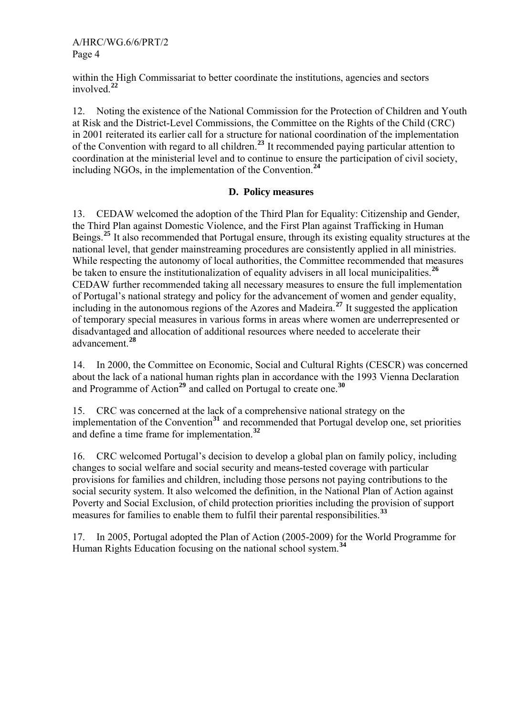within the High Commissariat to better coordinate the institutions, agencies and sectors involved.**[22](#page-14-0)**

12. Noting the existence of the National Commission for the Protection of Children and Youth at Risk and the District-Level Commissions, the Committee on the Rights of the Child (CRC) in 2001 reiterated its earlier call for a structure for national coordination of the implementation of the Convention with regard to all children.**[23](#page-14-0)** It recommended paying particular attention to coordination at the ministerial level and to continue to ensure the participation of civil society, including NGOs, in the implementation of the Convention.**[24](#page-14-0)**

#### **D. Policy measures**

13. CEDAW welcomed the adoption of the Third Plan for Equality: Citizenship and Gender, the Third Plan against Domestic Violence, and the First Plan against Trafficking in Human Beings.**[25](#page-14-0)** It also recommended that Portugal ensure, through its existing equality structures at the national level, that gender mainstreaming procedures are consistently applied in all ministries. While respecting the autonomy of local authorities, the Committee recommended that measures be taken to ensure the institutionalization of equality advisers in all local municipalities.**[26](#page-14-0)** CEDAW further recommended taking all necessary measures to ensure the full implementation of Portugal's national strategy and policy for the advancement of women and gender equality, including in the autonomous regions of the Azores and Madeira.**[27](#page-14-0)** It suggested the application of temporary special measures in various forms in areas where women are underrepresented or disadvantaged and allocation of additional resources where needed to accelerate their advancement.**[28](#page-14-0)**

14. In 2000, the Committee on Economic, Social and Cultural Rights (CESCR) was concerned about the lack of a national human rights plan in accordance with the 1993 Vienna Declaration and Programme of Action**[29](#page-14-0)** and called on Portugal to create one.**[30](#page-14-0)**

15. CRC was concerned at the lack of a comprehensive national strategy on the implementation of the Convention<sup>[31](#page-14-0)</sup> and recommended that Portugal develop one, set priorities and define a time frame for implementation.**[32](#page-15-0)**

16. CRC welcomed Portugal's decision to develop a global plan on family policy, including changes to social welfare and social security and means-tested coverage with particular provisions for families and children, including those persons not paying contributions to the social security system. It also welcomed the definition, in the National Plan of Action against Poverty and Social Exclusion, of child protection priorities including the provision of support measures for families to enable them to fulfil their parental responsibilities.**[33](#page-15-0)**

17. In 2005, Portugal adopted the Plan of Action (2005-2009) for the World Programme for Human Rights Education focusing on the national school system.**[34](#page-15-0)**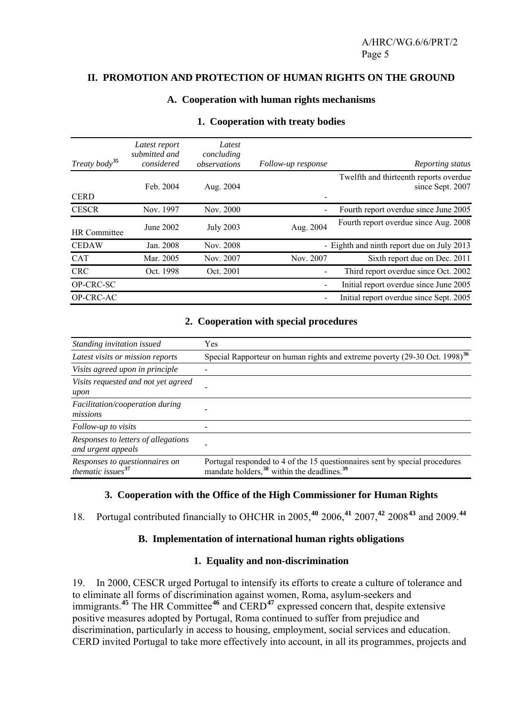#### **II. PROMOTION AND PROTECTION OF HUMAN RIGHTS ON THE GROUND**

#### **A. Cooperation with human rights mechanisms**

| Treaty body <sup>35</sup> | Latest report<br>submitted and<br>considered | Latest<br>concluding<br>observations | Follow-up response | Reporting status                                           |
|---------------------------|----------------------------------------------|--------------------------------------|--------------------|------------------------------------------------------------|
| <b>CERD</b>               | Feb. 2004                                    | Aug. 2004                            |                    | Twelfth and thirteenth reports overdue<br>since Sept. 2007 |
| <b>CESCR</b>              | Nov. 1997                                    | Nov. 2000                            |                    | Fourth report overdue since June 2005                      |
| <b>HR</b> Committee       | June 2002                                    | <b>July 2003</b>                     | Aug. 2004          | Fourth report overdue since Aug. 2008                      |
| <b>CEDAW</b>              | Jan. 2008                                    | Nov. 2008                            |                    | - Eighth and ninth report due on July 2013                 |
| <b>CAT</b>                | Mar. 2005                                    | Nov. 2007                            | Nov. 2007          | Sixth report due on Dec. 2011                              |
| <b>CRC</b>                | Oct. 1998                                    | Oct. 2001                            |                    | Third report overdue since Oct. 2002                       |
| OP-CRC-SC                 |                                              |                                      |                    | Initial report overdue since June 2005                     |
| OP-CRC-AC                 |                                              |                                      |                    | Initial report overdue since Sept. 2005                    |

#### **1. Cooperation with treaty bodies**

#### **2. Cooperation with special procedures**

| Standing invitation issued                                | Yes                                                                                                                                               |
|-----------------------------------------------------------|---------------------------------------------------------------------------------------------------------------------------------------------------|
| Latest visits or mission reports                          | Special Rapporteur on human rights and extreme poverty (29-30 Oct. 1998) <sup>36</sup>                                                            |
| Visits agreed upon in principle                           |                                                                                                                                                   |
| Visits requested and not yet agreed<br>upon               |                                                                                                                                                   |
| Facilitation/cooperation during<br>missions               |                                                                                                                                                   |
| Follow-up to visits                                       |                                                                                                                                                   |
| Responses to letters of allegations<br>and urgent appeals |                                                                                                                                                   |
| Responses to questionnaires on<br>thematic issues $37$    | Portugal responded to 4 of the 15 questionnaires sent by special procedures<br>mandate holders, <sup>38</sup> within the deadlines. <sup>39</sup> |

#### **3. Cooperation with the Office of the High Commissioner for Human Rights**

18. Portugal contributed financially to OHCHR in 2005,**[40](#page-15-0)** 2006,**[41](#page-15-0)** 2007,**[42](#page-15-0)** 2008**[43](#page-15-0)** and 2009.**[44](#page-15-0)**

#### **B. Implementation of international human rights obligations**

#### **1. Equality and non-discrimination**

19. In 2000, CESCR urged Portugal to intensify its efforts to create a culture of tolerance and to eliminate all forms of discrimination against women, Roma, asylum-seekers and immigrants.**[45](#page-16-0)** The HR Committee**[46](#page-16-0)** and CERD**[47](#page-16-0)** expressed concern that, despite extensive positive measures adopted by Portugal, Roma continued to suffer from prejudice and discrimination, particularly in access to housing, employment, social services and education. CERD invited Portugal to take more effectively into account, in all its programmes, projects and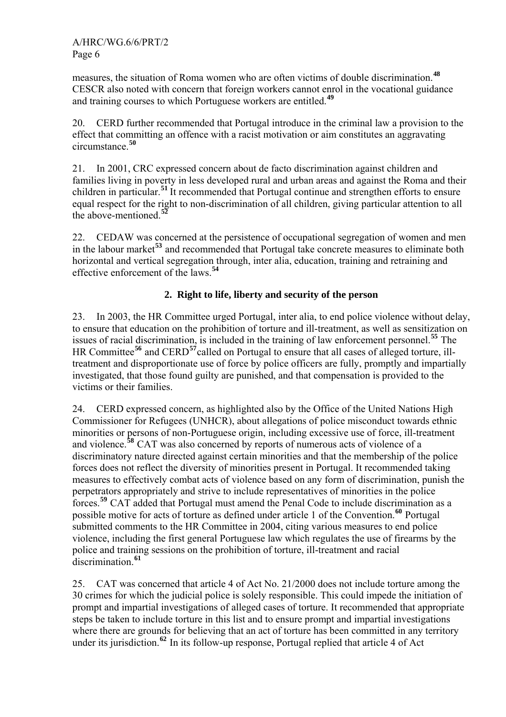measures, the situation of Roma women who are often victims of double discrimination.**[48](#page-16-0)** CESCR also noted with concern that foreign workers cannot enrol in the vocational guidance and training courses to which Portuguese workers are entitled.**[49](#page-16-0)**

20. CERD further recommended that Portugal introduce in the criminal law a provision to the effect that committing an offence with a racist motivation or aim constitutes an aggravating circumstance.**[50](#page-16-0)**

21. In 2001, CRC expressed concern about de facto discrimination against children and families living in poverty in less developed rural and urban areas and against the Roma and their children in particular.**[51](#page-16-0)** It recommended that Portugal continue and strengthen efforts to ensure equal respect for the right to non-discrimination of all children, giving particular attention to all the above-mentioned.**[52](#page-16-0)**

22. CEDAW was concerned at the persistence of occupational segregation of women and men in the labour market**[53](#page-16-0)** and recommended that Portugal take concrete measures to eliminate both horizontal and vertical segregation through, inter alia, education, training and retraining and effective enforcement of the laws.**[54](#page-16-0)**

# **2. Right to life, liberty and security of the person**

23. In 2003, the HR Committee urged Portugal, inter alia, to end police violence without delay, to ensure that education on the prohibition of torture and ill-treatment, as well as sensitization on issues of racial discrimination, is included in the training of law enforcement personnel.**[55](#page-16-0)** The HR Committee**[56](#page-16-0)** and CERD**[57](#page-16-0)**called on Portugal to ensure that all cases of alleged torture, illtreatment and disproportionate use of force by police officers are fully, promptly and impartially investigated, that those found guilty are punished, and that compensation is provided to the victims or their families.

24. CERD expressed concern, as highlighted also by the Office of the United Nations High Commissioner for Refugees (UNHCR), about allegations of police misconduct towards ethnic minorities or persons of non-Portuguese origin, including excessive use of force, ill-treatment and violence.**[58](#page-16-0)** CAT was also concerned by reports of numerous acts of violence of a discriminatory nature directed against certain minorities and that the membership of the police forces does not reflect the diversity of minorities present in Portugal. It recommended taking measures to effectively combat acts of violence based on any form of discrimination, punish the perpetrators appropriately and strive to include representatives of minorities in the police forces.**[59](#page-16-0)** CAT added that Portugal must amend the Penal Code to include discrimination as a possible motive for acts of torture as defined under article 1 of the Convention.**[60](#page-16-0)** Portugal submitted comments to the HR Committee in 2004, citing various measures to end police violence, including the first general Portuguese law which regulates the use of firearms by the police and training sessions on the prohibition of torture, ill-treatment and racial discrimination.**[61](#page-16-0)**

25. CAT was concerned that article 4 of Act No. 21/2000 does not include torture among the 30 crimes for which the judicial police is solely responsible. This could impede the initiation of prompt and impartial investigations of alleged cases of torture. It recommended that appropriate steps be taken to include torture in this list and to ensure prompt and impartial investigations where there are grounds for believing that an act of torture has been committed in any territory under its jurisdiction.**[62](#page-16-0)** In its follow-up response, Portugal replied that article 4 of Act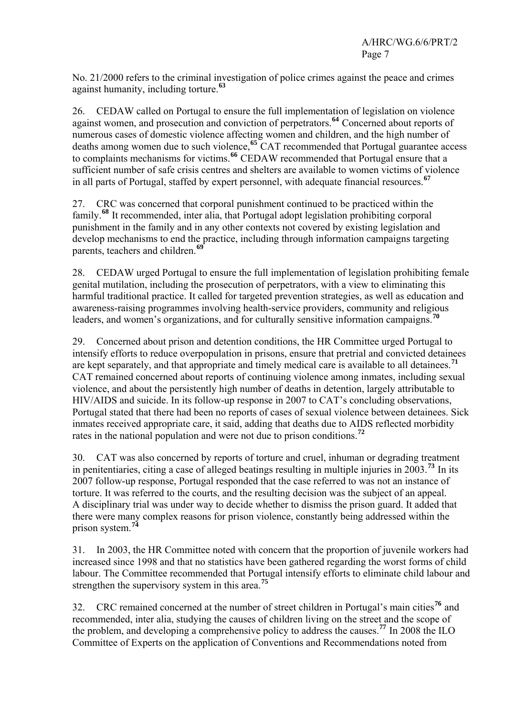No. 21/2000 refers to the criminal investigation of police crimes against the peace and crimes against humanity, including torture.**[63](#page-16-0)**

26. CEDAW called on Portugal to ensure the full implementation of legislation on violence against women, and prosecution and conviction of perpetrators.**[64](#page-16-0)** Concerned about reports of numerous cases of domestic violence affecting women and children, and the high number of deaths among women due to such violence,**[65](#page-16-0)** CAT recommended that Portugal guarantee access to complaints mechanisms for victims.**[66](#page-16-0)** CEDAW recommended that Portugal ensure that a sufficient number of safe crisis centres and shelters are available to women victims of violence in all parts of Portugal, staffed by expert personnel, with adequate financial resources.**[67](#page-16-0)**

27. CRC was concerned that corporal punishment continued to be practiced within the family.**[68](#page-16-0)** It recommended, inter alia, that Portugal adopt legislation prohibiting corporal punishment in the family and in any other contexts not covered by existing legislation and develop mechanisms to end the practice, including through information campaigns targeting parents, teachers and children.**[69](#page-16-0)**

28. CEDAW urged Portugal to ensure the full implementation of legislation prohibiting female genital mutilation, including the prosecution of perpetrators, with a view to eliminating this harmful traditional practice. It called for targeted prevention strategies, as well as education and awareness-raising programmes involving health-service providers, community and religious leaders, and women's organizations, and for culturally sensitive information campaigns.**[70](#page-16-0)**

29. Concerned about prison and detention conditions, the HR Committee urged Portugal to intensify efforts to reduce overpopulation in prisons, ensure that pretrial and convicted detainees are kept separately, and that appropriate and timely medical care is available to all detainees.**[71](#page-16-0)** CAT remained concerned about reports of continuing violence among inmates, including sexual violence, and about the persistently high number of deaths in detention, largely attributable to HIV/AIDS and suicide. In its follow-up response in 2007 to CAT's concluding observations, Portugal stated that there had been no reports of cases of sexual violence between detainees. Sick inmates received appropriate care, it said, adding that deaths due to AIDS reflected morbidity rates in the national population and were not due to prison conditions.**[72](#page-16-0)**

30. CAT was also concerned by reports of torture and cruel, inhuman or degrading treatment in penitentiaries, citing a case of alleged beatings resulting in multiple injuries in 2003.**[73](#page-16-0)** In its 2007 follow-up response, Portugal responded that the case referred to was not an instance of torture. It was referred to the courts, and the resulting decision was the subject of an appeal. A disciplinary trial was under way to decide whether to dismiss the prison guard. It added that there were many complex reasons for prison violence, constantly being addressed within the prison system.**[74](#page-16-0)**

31. In 2003, the HR Committee noted with concern that the proportion of juvenile workers had increased since 1998 and that no statistics have been gathered regarding the worst forms of child labour. The Committee recommended that Portugal intensify efforts to eliminate child labour and strengthen the supervisory system in this area.**[75](#page-16-0)**

32. CRC remained concerned at the number of street children in Portugal's main cities**[76](#page-16-0)** and recommended, inter alia, studying the causes of children living on the street and the scope of the problem, and developing a comprehensive policy to address the causes.**[77](#page-16-0)** In 2008 the ILO Committee of Experts on the application of Conventions and Recommendations noted from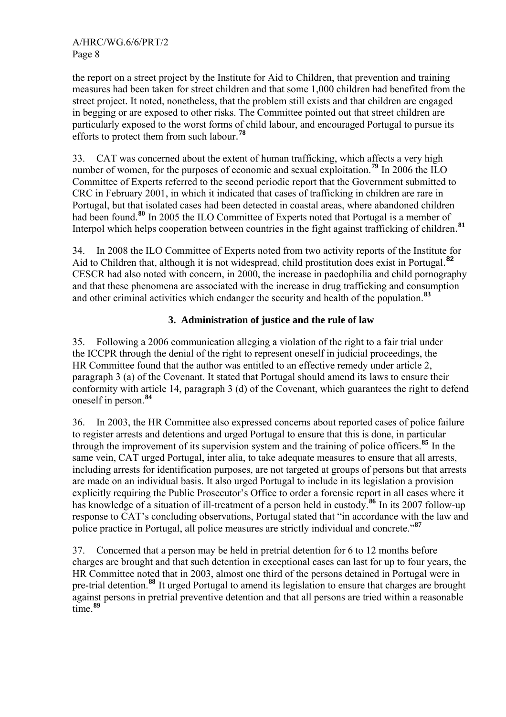the report on a street project by the Institute for Aid to Children, that prevention and training measures had been taken for street children and that some 1,000 children had benefited from the street project. It noted, nonetheless, that the problem still exists and that children are engaged in begging or are exposed to other risks. The Committee pointed out that street children are particularly exposed to the worst forms of child labour, and encouraged Portugal to pursue its efforts to protect them from such labour. **[78](#page-16-0)**

33. CAT was concerned about the extent of human trafficking, which affects a very high number of women, for the purposes of economic and sexual exploitation.<sup>[79](#page-16-0)</sup> In 2006 the ILO Committee of Experts referred to the second periodic report that the Government submitted to CRC in February 2001, in which it indicated that cases of trafficking in children are rare in Portugal, but that isolated cases had been detected in coastal areas, where abandoned children had been found.**[80](#page-16-0)** In 2005 the ILO Committee of Experts noted that Portugal is a member of Interpol which helps cooperation between countries in the fight against trafficking of children. **[81](#page-16-0)**

34. In 2008 the ILO Committee of Experts noted from two activity reports of the Institute for Aid to Children that, although it is not widespread, child prostitution does exist in Portugal. **[82](#page-16-0)** CESCR had also noted with concern, in 2000, the increase in paedophilia and child pornography and that these phenomena are associated with the increase in drug trafficking and consumption and other criminal activities which endanger the security and health of the population.**[83](#page-16-0)**

#### **3. Administration of justice and the rule of law**

35. Following a 2006 communication alleging a violation of the right to a fair trial under the ICCPR through the denial of the right to represent oneself in judicial proceedings, the HR Committee found that the author was entitled to an effective remedy under article 2, paragraph 3 (a) of the Covenant. It stated that Portugal should amend its laws to ensure their conformity with article 14, paragraph 3 (d) of the Covenant, which guarantees the right to defend oneself in person.**[84](#page-16-0)**

36. In 2003, the HR Committee also expressed concerns about reported cases of police failure to register arrests and detentions and urged Portugal to ensure that this is done, in particular through the improvement of its supervision system and the training of police officers.**[85](#page-16-0)** In the same vein, CAT urged Portugal, inter alia, to take adequate measures to ensure that all arrests, including arrests for identification purposes, are not targeted at groups of persons but that arrests are made on an individual basis. It also urged Portugal to include in its legislation a provision explicitly requiring the Public Prosecutor's Office to order a forensic report in all cases where it has knowledge of a situation of ill-treatment of a person held in custody.<sup>[86](#page-16-0)</sup> In its 2007 follow-up response to CAT's concluding observations, Portugal stated that "in accordance with the law and police practice in Portugal, all police measures are strictly individual and concrete."**[87](#page-16-0)**

37. Concerned that a person may be held in pretrial detention for 6 to 12 months before charges are brought and that such detention in exceptional cases can last for up to four years, the HR Committee noted that in 2003, almost one third of the persons detained in Portugal were in pre-trial detention.**[88](#page-16-0)** It urged Portugal to amend its legislation to ensure that charges are brought against persons in pretrial preventive detention and that all persons are tried within a reasonable time.**[89](#page-16-0)**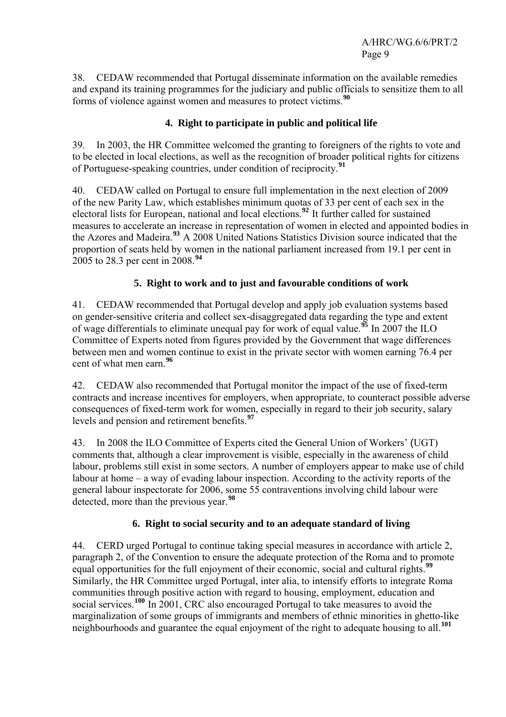38. CEDAW recommended that Portugal disseminate information on the available remedies and expand its training programmes for the judiciary and public officials to sensitize them to all forms of violence against women and measures to protect victims.**[90](#page-16-0)**

# **4. Right to participate in public and political life**

39. In 2003, the HR Committee welcomed the granting to foreigners of the rights to vote and to be elected in local elections, as well as the recognition of broader political rights for citizens of Portuguese-speaking countries, under condition of reciprocity.**[91](#page-16-0)**

40. CEDAW called on Portugal to ensure full implementation in the next election of 2009 of the new Parity Law, which establishes minimum quotas of 33 per cent of each sex in the electoral lists for European, national and local elections.**[92](#page-16-0)** It further called for sustained measures to accelerate an increase in representation of women in elected and appointed bodies in the Azores and Madeira.**[93](#page-16-0)** A 2008 United Nations Statistics Division source indicated that the proportion of seats held by women in the national parliament increased from 19.1 per cent in 2005 to 28.3 per cent in 2008.**[94](#page-16-0)**

# **5. Right to work and to just and favourable conditions of work**

41. CEDAW recommended that Portugal develop and apply job evaluation systems based on gender-sensitive criteria and collect sex-disaggregated data regarding the type and extent of wage differentials to eliminate unequal pay for work of equal value.**[95](#page-16-0)** In 2007 the ILO Committee of Experts noted from figures provided by the Government that wage differences between men and women continue to exist in the private sector with women earning 76.4 per cent of what men earn.**[96](#page-16-0)**

42. CEDAW also recommended that Portugal monitor the impact of the use of fixed-term contracts and increase incentives for employers, when appropriate, to counteract possible adverse consequences of fixed-term work for women, especially in regard to their job security, salary levels and pension and retirement benefits.**[97](#page-16-0)**

43. In 2008 the ILO Committee of Experts cited the General Union of Workers' (UGT) comments that, although a clear improvement is visible, especially in the awareness of child labour, problems still exist in some sectors. A number of employers appear to make use of child labour at home – a way of evading labour inspection. According to the activity reports of the general labour inspectorate for 2006, some 55 contraventions involving child labour were detected, more than the previous year.**[98](#page-16-0)**

# **6. Right to social security and to an adequate standard of living**

44. CERD urged Portugal to continue taking special measures in accordance with article 2, paragraph 2, of the Convention to ensure the adequate protection of the Roma and to promote equal opportunities for the full enjoyment of their economic, social and cultural rights.**[99](#page-16-0)** Similarly, the HR Committee urged Portugal, inter alia, to intensify efforts to integrate Roma communities through positive action with regard to housing, employment, education and social services.<sup>[100](#page-16-0)</sup> In 2001, CRC also encouraged Portugal to take measures to avoid the marginalization of some groups of immigrants and members of ethnic minorities in ghetto-like neighbourhoods and guarantee the equal enjoyment of the right to adequate housing to all.**[101](#page-16-0)**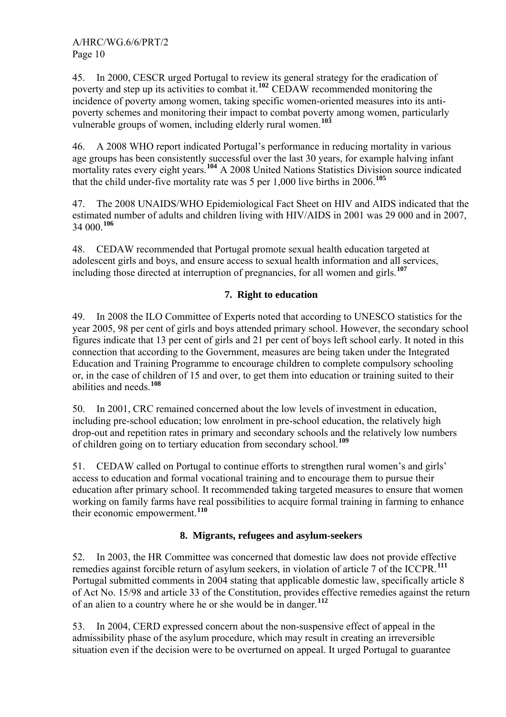45. In 2000, CESCR urged Portugal to review its general strategy for the eradication of poverty and step up its activities to combat it.<sup>[102](#page-16-0)</sup> CEDAW recommended monitoring the incidence of poverty among women, taking specific women-oriented measures into its antipoverty schemes and monitoring their impact to combat poverty among women, particularly vulnerable groups of women, including elderly rural women.**[103](#page-16-0)**

46. A 2008 WHO report indicated Portugal's performance in reducing mortality in various age groups has been consistently successful over the last 30 years, for example halving infant mortality rates every eight years.**[104](#page-16-0)** A 2008 United Nations Statistics Division source indicated that the child under-five mortality rate was 5 per 1,000 live births in 2006.**[105](#page-16-0)**

47. The 2008 UNAIDS/WHO Epidemiological Fact Sheet on HIV and AIDS indicated that the estimated number of adults and children living with HIV/AIDS in 2001 was 29 000 and in 2007, 34 000.**[106](#page-16-0)**

48. CEDAW recommended that Portugal promote sexual health education targeted at adolescent girls and boys, and ensure access to sexual health information and all services, including those directed at interruption of pregnancies, for all women and girls.**[107](#page-16-0)**

# **7. Right to education**

49. In 2008 the ILO Committee of Experts noted that according to UNESCO statistics for the year 2005, 98 per cent of girls and boys attended primary school. However, the secondary school figures indicate that 13 per cent of girls and 21 per cent of boys left school early. It noted in this connection that according to the Government, measures are being taken under the Integrated Education and Training Programme to encourage children to complete compulsory schooling or, in the case of children of 15 and over, to get them into education or training suited to their abilities and needs.**[108](#page-16-0)**

50. In 2001, CRC remained concerned about the low levels of investment in education, including pre-school education; low enrolment in pre-school education, the relatively high drop-out and repetition rates in primary and secondary schools and the relatively low numbers of children going on to tertiary education from secondary school.**[109](#page-16-0)**

51. CEDAW called on Portugal to continue efforts to strengthen rural women's and girls' access to education and formal vocational training and to encourage them to pursue their education after primary school. It recommended taking targeted measures to ensure that women working on family farms have real possibilities to acquire formal training in farming to enhance their economic empowerment.**[110](#page-16-0)**

# **8. Migrants, refugees and asylum-seekers**

52. In 2003, the HR Committee was concerned that domestic law does not provide effective remedies against forcible return of asylum seekers, in violation of article 7 of the ICCPR.**[111](#page-16-0)** Portugal submitted comments in 2004 stating that applicable domestic law, specifically article 8 of Act No. 15/98 and article 33 of the Constitution, provides effective remedies against the return of an alien to a country where he or she would be in danger.**[112](#page-16-0)**

53. In 2004, CERD expressed concern about the non-suspensive effect of appeal in the admissibility phase of the asylum procedure, which may result in creating an irreversible situation even if the decision were to be overturned on appeal. It urged Portugal to guarantee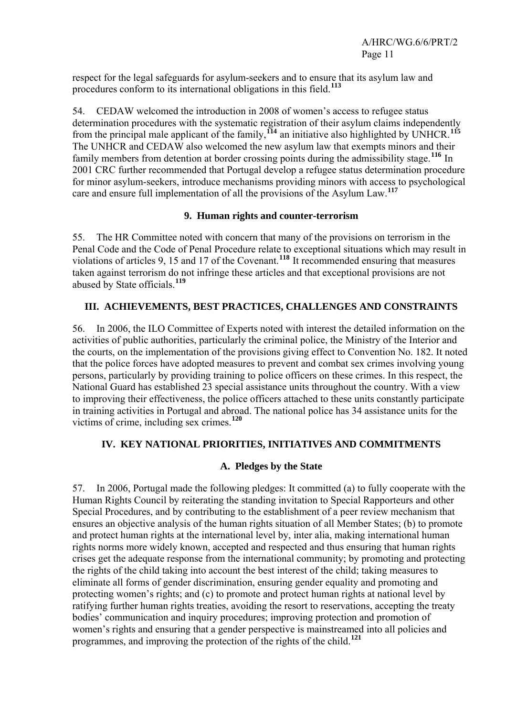respect for the legal safeguards for asylum-seekers and to ensure that its asylum law and procedures conform to its international obligations in this field.**[113](#page-16-0)**

54. CEDAW welcomed the introduction in 2008 of women's access to refugee status determination procedures with the systematic registration of their asylum claims independently from the principal male applicant of the family,**[114](#page-16-0)** an initiative also highlighted by UNHCR.**[115](#page-16-0)** The UNHCR and CEDAW also welcomed the new asylum law that exempts minors and their family members from detention at border crossing points during the admissibility stage.**[116](#page-16-0)** In 2001 CRC further recommended that Portugal develop a refugee status determination procedure for minor asylum-seekers, introduce mechanisms providing minors with access to psychological care and ensure full implementation of all the provisions of the Asylum Law.**[117](#page-16-0)**

#### **9. Human rights and counter-terrorism**

55. The HR Committee noted with concern that many of the provisions on terrorism in the Penal Code and the Code of Penal Procedure relate to exceptional situations which may result in violations of articles 9, 15 and 17 of the Covenant.**[118](#page-16-0)** It recommended ensuring that measures taken against terrorism do not infringe these articles and that exceptional provisions are not abused by State officials.**[119](#page-16-0)**

# **III. ACHIEVEMENTS, BEST PRACTICES, CHALLENGES AND CONSTRAINTS**

56. In 2006, the ILO Committee of Experts noted with interest the detailed information on the activities of public authorities, particularly the criminal police, the Ministry of the Interior and the courts, on the implementation of the provisions giving effect to Convention No. 182. It noted that the police forces have adopted measures to prevent and combat sex crimes involving young persons, particularly by providing training to police officers on these crimes. In this respect, the National Guard has established 23 special assistance units throughout the country. With a view to improving their effectiveness, the police officers attached to these units constantly participate in training activities in Portugal and abroad. The national police has 34 assistance units for the victims of crime, including sex crimes.**[120](#page-16-0)**

# **IV. KEY NATIONAL PRIORITIES, INITIATIVES AND COMMITMENTS**

#### **A. Pledges by the State**

57. In 2006, Portugal made the following pledges: It committed (a) to fully cooperate with the Human Rights Council by reiterating the standing invitation to Special Rapporteurs and other Special Procedures, and by contributing to the establishment of a peer review mechanism that ensures an objective analysis of the human rights situation of all Member States; (b) to promote and protect human rights at the international level by, inter alia, making international human rights norms more widely known, accepted and respected and thus ensuring that human rights crises get the adequate response from the international community; by promoting and protecting the rights of the child taking into account the best interest of the child; taking measures to eliminate all forms of gender discrimination, ensuring gender equality and promoting and protecting women's rights; and (c) to promote and protect human rights at national level by ratifying further human rights treaties, avoiding the resort to reservations, accepting the treaty bodies' communication and inquiry procedures; improving protection and promotion of women's rights and ensuring that a gender perspective is mainstreamed into all policies and programmes, and improving the protection of the rights of the child.**[121](#page-16-0)**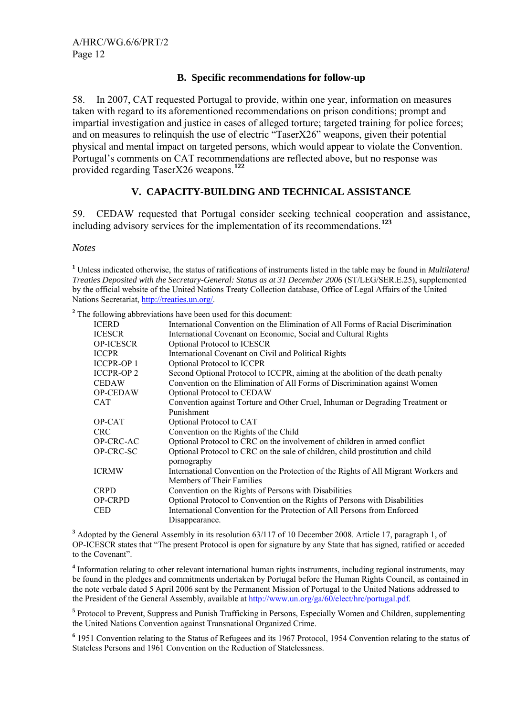#### **B. Specific recommendations for follow-up**

58. In 2007, CAT requested Portugal to provide, within one year, information on measures taken with regard to its aforementioned recommendations on prison conditions; prompt and impartial investigation and justice in cases of alleged torture; targeted training for police forces; and on measures to relinquish the use of electric "TaserX26" weapons, given their potential physical and mental impact on targeted persons, which would appear to violate the Convention. Portugal's comments on CAT recommendations are reflected above, but no response was provided regarding TaserX26 weapons.**[122](#page-16-0)**

#### **V. CAPACITY-BUILDING AND TECHNICAL ASSISTANCE**

59. CEDAW requested that Portugal consider seeking technical cooperation and assistance, including advisory services for the implementation of its recommendations.**[123](#page-16-1)**

#### *Notes*

**1** Unless indicated otherwise, the status of ratifications of instruments listed in the table may be found in *Multilateral Treaties Deposited with the Secretary-General: Status as at 31 December 2006* (ST/LEG/SER.E.25), supplemented by the official website of the United Nations Treaty Collection database, Office of Legal Affairs of the United Nations Secretariat,<http://treaties.un.org/>.

<sup>2</sup> The following abbreviations have been used for this document:

| <b>ICERD</b>      | International Convention on the Elimination of All Forms of Racial Discrimination   |
|-------------------|-------------------------------------------------------------------------------------|
| <b>ICESCR</b>     | International Covenant on Economic, Social and Cultural Rights                      |
| <b>OP-ICESCR</b>  | Optional Protocol to ICESCR                                                         |
| <b>ICCPR</b>      | International Covenant on Civil and Political Rights                                |
| <b>ICCPR-OP 1</b> | Optional Protocol to ICCPR                                                          |
| <b>ICCPR-OP2</b>  | Second Optional Protocol to ICCPR, aiming at the abolition of the death penalty     |
| <b>CEDAW</b>      | Convention on the Elimination of All Forms of Discrimination against Women          |
| OP-CEDAW          | Optional Protocol to CEDAW                                                          |
| <b>CAT</b>        | Convention against Torture and Other Cruel, Inhuman or Degrading Treatment or       |
|                   | Punishment                                                                          |
| OP-CAT            | Optional Protocol to CAT                                                            |
| <b>CRC</b>        | Convention on the Rights of the Child                                               |
| OP-CRC-AC         | Optional Protocol to CRC on the involvement of children in armed conflict           |
| OP-CRC-SC         | Optional Protocol to CRC on the sale of children, child prostitution and child      |
|                   | pornography                                                                         |
| <b>ICRMW</b>      | International Convention on the Protection of the Rights of All Migrant Workers and |
|                   | Members of Their Families                                                           |
| <b>CRPD</b>       | Convention on the Rights of Persons with Disabilities                               |
| <b>OP-CRPD</b>    | Optional Protocol to Convention on the Rights of Persons with Disabilities          |
| <b>CED</b>        | International Convention for the Protection of All Persons from Enforced            |
|                   | Disappearance.                                                                      |

<sup>3</sup> Adopted by the General Assembly in its resolution 63/117 of 10 December 2008. Article 17, paragraph 1, of OP-ICESCR states that "The present Protocol is open for signature by any State that has signed, ratified or acceded to the Covenant".

<sup>4</sup> Information relating to other relevant international human rights instruments, including regional instruments, may be found in the pledges and commitments undertaken by Portugal before the Human Rights Council, as contained in the note verbale dated 5 April 2006 sent by the Permanent Mission of Portugal to the United Nations addressed to the President of the General Assembly, available at [http://www.un.org/ga/60/elect/hrc/portugal.pdf.](http://www.un.org/ga/60/elect/hrc/portugal.pdf)

<sup>5</sup> Protocol to Prevent, Suppress and Punish Trafficking in Persons, Especially Women and Children, supplementing the United Nations Convention against Transnational Organized Crime.

<sup>6</sup> 1951 Convention relating to the Status of Refugees and its 1967 Protocol, 1954 Convention relating to the status of Stateless Persons and 1961 Convention on the Reduction of Statelessness.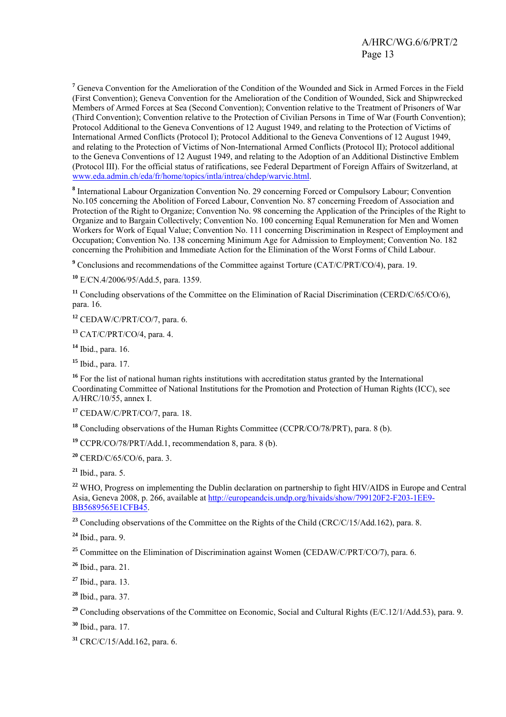<sup>7</sup> Geneva Convention for the Amelioration of the Condition of the Wounded and Sick in Armed Forces in the Field (First Convention); Geneva Convention for the Amelioration of the Condition of Wounded, Sick and Shipwrecked Members of Armed Forces at Sea (Second Convention); Convention relative to the Treatment of Prisoners of War (Third Convention); Convention relative to the Protection of Civilian Persons in Time of War (Fourth Convention); Protocol Additional to the Geneva Conventions of 12 August 1949, and relating to the Protection of Victims of International Armed Conflicts (Protocol I); Protocol Additional to the Geneva Conventions of 12 August 1949, and relating to the Protection of Victims of Non-International Armed Conflicts (Protocol II); Protocol additional to the Geneva Conventions of 12 August 1949, and relating to the Adoption of an Additional Distinctive Emblem (Protocol III). For the official status of ratifications, see Federal Department of Foreign Affairs of Switzerland, at [www.eda.admin.ch/eda/fr/home/topics/intla/intrea/chdep/warvic.html.](http://www.eda.admin.ch/eda/fr/home/topics/intla/intrea/chdep/warvic.html)

<sup>8</sup> International Labour Organization Convention No. 29 concerning Forced or Compulsory Labour; Convention No.105 concerning the Abolition of Forced Labour, Convention No. 87 concerning Freedom of Association and Protection of the Right to Organize; Convention No. 98 concerning the Application of the Principles of the Right to Organize and to Bargain Collectively; Convention No. 100 concerning Equal Remuneration for Men and Women Workers for Work of Equal Value; Convention No. 111 concerning Discrimination in Respect of Employment and Occupation; Convention No. 138 concerning Minimum Age for Admission to Employment; Convention No. 182 concerning the Prohibition and Immediate Action for the Elimination of the Worst Forms of Child Labour.

<sup>9</sup> Conclusions and recommendations of the Committee against Torture (CAT/C/PRT/CO/4), para. 19.

**<sup>10</sup>** E/CN.4/2006/95/Add.5, para. 1359.

<sup>11</sup> Concluding observations of the Committee on the Elimination of Racial Discrimination (CERD/C/65/CO/6), para. 16.

**<sup>12</sup>** CEDAW/C/PRT/CO/7, para. 6.

**<sup>13</sup>** CAT/C/PRT/CO/4, para. 4.

**<sup>14</sup>** Ibid., para. 16.

**<sup>15</sup>** Ibid., para. 17.

<sup>16</sup> For the list of national human rights institutions with accreditation status granted by the International Coordinating Committee of National Institutions for the Promotion and Protection of Human Rights (ICC), see A/HRC/10/55, annex I.

**<sup>17</sup>** CEDAW/C/PRT/CO/7, para. 18.

**<sup>18</sup>** Concluding observations of the Human Rights Committee (CCPR/CO/78/PRT), para. 8 (b).

**<sup>19</sup>** CCPR/CO/78/PRT/Add.1, recommendation 8, para. 8 (b).

**<sup>20</sup>** CERD/C/65/CO/6, para. 3.

 $21$  Ibid., para. 5.

<sup>22</sup> WHO, Progress on implementing the Dublin declaration on partnership to fight HIV/AIDS in Europe and Central Asia, Geneva 2008, p. 266, available at [http://europeandcis.undp.org/hivaids/show/799120F2-F203-1EE9-](http://europeandcis.undp.org/hivaids/show/799120F2-F203-1EE9-BB5689565E1CFB45) [BB5689565E1CFB45](http://europeandcis.undp.org/hivaids/show/799120F2-F203-1EE9-BB5689565E1CFB45).

<sup>23</sup> Concluding observations of the Committee on the Rights of the Child (CRC/C/15/Add.162), para. 8.

**<sup>24</sup>** Ibid., para. 9.

<sup>25</sup> Committee on the Elimination of Discrimination against Women (CEDAW/C/PRT/CO/7), para. 6.

**<sup>26</sup>** Ibid., para. 21.

**<sup>27</sup>** Ibid., para. 13.

**<sup>28</sup>** Ibid., para. 37.

<sup>29</sup> Concluding observations of the Committee on Economic, Social and Cultural Rights (E/C.12/1/Add.53), para. 9.

**<sup>30</sup>** Ibid., para. 17.

**<sup>31</sup>** CRC/C/15/Add.162, para. 6.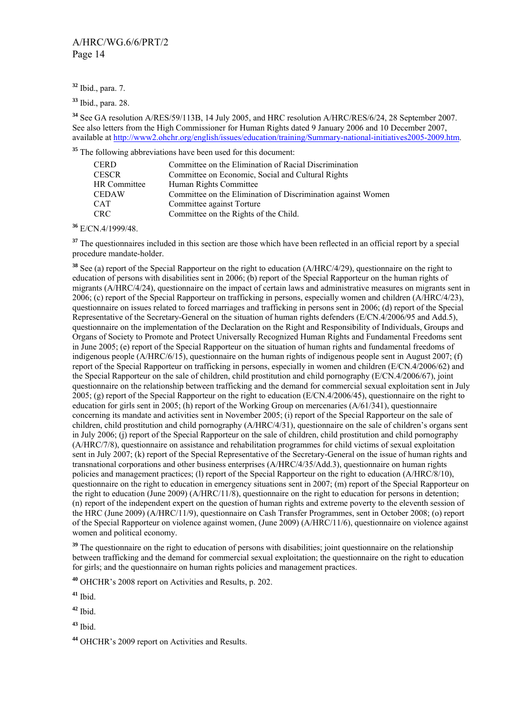<span id="page-13-1"></span>**<sup>32</sup>** Ibid., para. 7.

**<sup>33</sup>** Ibid., para. 28.

**<sup>34</sup>** See GA resolution A/RES/59/113B, 14 July 2005, and HRC resolution A/HRC/RES/6/24, 28 September 2007. See also letters from the High Commissioner for Human Rights dated 9 January 2006 and 10 December 2007, available at<http://www2.ohchr.org/english/issues/education/training/Summary-national-initiatives2005-2009.htm>.

<sup>35</sup> The following abbreviations have been used for this document:

| CERD                | Committee on the Elimination of Racial Discrimination        |
|---------------------|--------------------------------------------------------------|
| CESCR               | Committee on Economic, Social and Cultural Rights            |
| <b>HR Committee</b> | Human Rights Committee                                       |
| CEDAW               | Committee on the Elimination of Discrimination against Women |
| CAT                 | Committee against Torture                                    |
| CRC                 | Committee on the Rights of the Child.                        |

**<sup>36</sup>** E/CN.4/1999/48.

<sup>37</sup> The questionnaires included in this section are those which have been reflected in an official report by a special procedure mandate-holder.

<span id="page-13-0"></span>**<sup>38</sup>** See (a) report of the Special Rapporteur on the right to education (A/HRC/4/29), questionnaire on the right to education of persons with disabilities sent in 2006; (b) report of the Special Rapporteur on the human rights of migrants (A/HRC/4/24), questionnaire on the impact of certain laws and administrative measures on migrants sent in 2006; (c) report of the Special Rapporteur on trafficking in persons, especially women and children (A/HRC/4/23), questionnaire on issues related to forced marriages and trafficking in persons sent in 2006; (d) report of the Special Representative of the Secretary-General on the situation of human rights defenders (E/CN.4/2006/95 and Add.5), questionnaire on the implementation of the Declaration on the Right and Responsibility of Individuals, Groups and Organs of Society to Promote and Protect Universally Recognized Human Rights and Fundamental Freedoms sent in June 2005; (e) report of the Special Rapporteur on the situation of human rights and fundamental freedoms of indigenous people (A/HRC/6/15), questionnaire on the human rights of indigenous people sent in August 2007; (f) report of the Special Rapporteur on trafficking in persons, especially in women and children (E/CN.4/2006/62) and the Special Rapporteur on the sale of children, child prostitution and child pornography (E/CN.4/2006/67), joint questionnaire on the relationship between trafficking and the demand for commercial sexual exploitation sent in July 2005; (g) report of the Special Rapporteur on the right to education (E/CN.4/2006/45), questionnaire on the right to education for girls sent in 2005; (h) report of the Working Group on mercenaries (A/61/341), questionnaire concerning its mandate and activities sent in November 2005; (i) report of the Special Rapporteur on the sale of children, child prostitution and child pornography  $(A/HRC/4/31)$ , questionnaire on the sale of children's organs sent in July 2006; (j) report of the Special Rapporteur on the sale of children, child prostitution and child pornography (A/HRC/7/8), questionnaire on assistance and rehabilitation programmes for child victims of sexual exploitation sent in July 2007; (k) report of the Special Representative of the Secretary-General on the issue of human rights and transnational corporations and other business enterprises (A/HRC/4/35/Add.3), questionnaire on human rights policies and management practices; (l) report of the Special Rapporteur on the right to education (A/HRC/8/10), questionnaire on the right to education in emergency situations sent in 2007; (m) report of the Special Rapporteur on the right to education (June 2009) (A/HRC/11/8), questionnaire on the right to education for persons in detention; (n) report of the independent expert on the question of human rights and extreme poverty to the eleventh session of the HRC (June 2009) (A/HRC/11/9), questionnaire on Cash Transfer Programmes, sent in October 2008; (o) report of the Special Rapporteur on violence against women, (June 2009) (A/HRC/11/6), questionnaire on violence against women and political economy.

<sup>39</sup> The questionnaire on the right to education of persons with disabilities; joint questionnaire on the relationship between trafficking and the demand for commercial sexual exploitation; the questionnaire on the right to education for girls; and the questionnaire on human rights policies and management practices.

**<sup>40</sup>** OHCHR's 2008 report on Activities and Results, p. 202.

**<sup>41</sup>** Ibid.

**<sup>42</sup>** Ibid.

**<sup>43</sup>** Ibid.

**<sup>44</sup>** OHCHR's 2009 report on Activities and Results.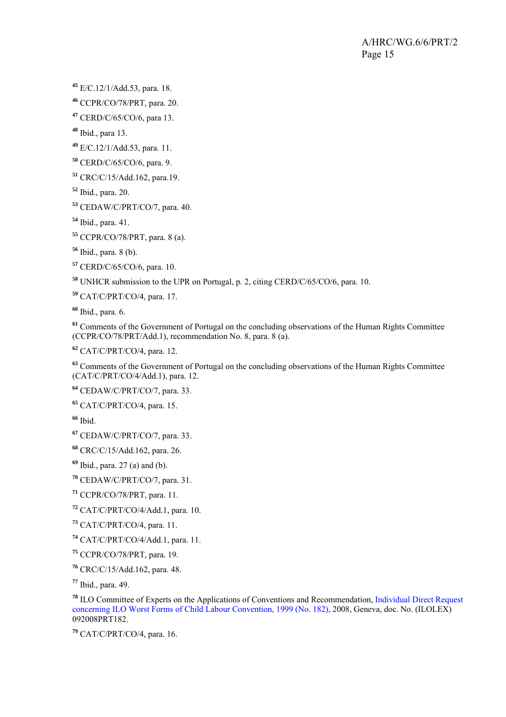<span id="page-14-0"></span>E/C.12/1/Add.53, para. 18.

CCPR/CO/78/PRT*,* para. 20.

CERD/C/65/CO/6, para 13.

Ibid., para 13.

E/C.12/1/Add.53, para. 11.

CERD/C/65/CO/6, para. 9.

CRC/C/15/Add.162, para.19.

Ibid., para. 20.

CEDAW/C/PRT/CO/7, para. 40.

Ibid., para. 41.

CCPR/CO/78/PRT, para. 8 (a).

Ibid., para. 8 (b).

CERD/C/65/CO/6, para. 10.

UNHCR submission to the UPR on Portugal, p. 2, citing CERD/C/65/CO/6, para. 10.

CAT/C/PRT/CO/4, para. 17.

Ibid., para. 6.

 Comments of the Government of Portugal on the concluding observations of the Human Rights Committee (CCPR/CO/78/PRT/Add.1), recommendation No. 8, para. 8 (a).

CAT/C/PRT/CO/4, para. 12.

 Comments of the Government of Portugal on the concluding observations of the Human Rights Committee (CAT/C/PRT/CO/4/Add.1), para. 12.

CEDAW/C/PRT/CO/7, para. 33.

CAT/C/PRT/CO/4, para. 15.

Ibid.

CEDAW/C/PRT/CO/7, para. 33.

CRC/C/15/Add.162, para. 26.

Ibid., para. 27 (a) and (b).

CEDAW/C/PRT/CO/7, para. 31.

CCPR/CO/78/PRT, para. 11.

CAT/C/PRT/CO/4/Add.1, para. 10.

CAT/C/PRT/CO/4, para. 11.

CAT/C/PRT/CO/4/Add.1, para. 11.

CCPR/CO/78/PRT*,* para. 19.

CRC/C/15/Add.162, para. 48.

Ibid., para. 49.

 ILO Committee of Experts on the Applications of Conventions and Recommendation, Individual Direct Request concerning ILO Worst Forms of Child Labour Convention, 1999 (No. 182), 2008, Geneva, doc. No. (ILOLEX) 092008PRT182.

CAT/C/PRT/CO/4, para. 16.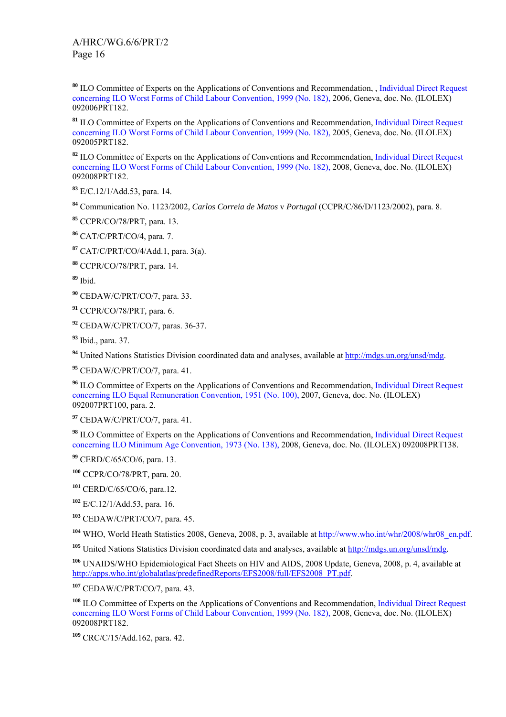<span id="page-15-0"></span> ILO Committee of Experts on the Applications of Conventions and Recommendation, , Individual Direct Request concerning ILO Worst Forms of Child Labour Convention, 1999 (No. 182), 2006, Geneva, doc. No. (ILOLEX) 092006PRT182.

 ILO Committee of Experts on the Applications of Conventions and Recommendation, Individual Direct Request concerning ILO Worst Forms of Child Labour Convention, 1999 (No. 182), 2005, Geneva, doc. No. (ILOLEX) 092005PRT182.

 ILO Committee of Experts on the Applications of Conventions and Recommendation, Individual Direct Request concerning ILO Worst Forms of Child Labour Convention, 1999 (No. 182), 2008, Geneva, doc. No. (ILOLEX) 092008PRT182.

E/C.12/1/Add.53, para. 14.

Communication No. 1123/2002, *Carlos Correia de Matos* v *Portugal* (CCPR/C/86/D/1123/2002), para. 8.

CCPR/CO/78/PRT*,* para. 13.

CAT/C/PRT/CO/4, para. 7.

CAT/C/PRT/CO/4/Add.1, para. 3(a).

CCPR/CO/78/PRT, para. 14.

Ibid.

CEDAW/C/PRT/CO/7, para. 33.

CCPR/CO/78/PRT*,* para. 6.

CEDAW/C/PRT/CO/7, paras. 36-37.

Ibid., para. 37.

United Nations Statistics Division coordinated data and analyses, available at [http://mdgs.un.org/unsd/mdg.](http://mdgs.un.org/unsd/mdg)

CEDAW/C/PRT/CO/7, para. 41.

<sup>96</sup> ILO Committee of Experts on the Applications of Conventions and Recommendation, Individual Direct Request concerning ILO Equal Remuneration Convention, 1951 (No. 100), 2007, Geneva, doc. No. (ILOLEX) 092007PRT100, para. 2.

CEDAW/C/PRT/CO/7, para. 41.

 ILO Committee of Experts on the Applications of Conventions and Recommendation, Individual Direct Request concerning ILO Minimum Age Convention, 1973 (No. 138), 2008, Geneva, doc. No. (ILOLEX) 092008PRT138.

CERD/C/65/CO/6, para. 13.

CCPR/CO/78/PRT*,* para. 20.

CERD/C/65/CO/6, para.12.

E/C.12/1/Add.53, para. 16.

CEDAW/C/PRT/CO/7, para. 45.

WHO, World Heath Statistics 2008, Geneva, 2008, p. 3, available at [http://www.who.int/whr/2008/whr08\\_en.pdf.](http://www.who.int/whr/2008/whr08_en.pdf)

United Nations Statistics Division coordinated data and analyses, available at<http://mdgs.un.org/unsd/mdg>.

 UNAIDS/WHO Epidemiological Fact Sheets on HIV and AIDS, 2008 Update, Geneva, 2008, p. 4, available at [http://apps.who.int/globalatlas/predefinedReports/EFS2008/full/EFS2008\\_PT.pdf](http://apps.who.int/globalatlas/predefinedReports/EFS2008/full/EFS2008_PT.pdf).

CEDAW/C/PRT/CO/7, para. 43.

 ILO Committee of Experts on the Applications of Conventions and Recommendation, Individual Direct Request concerning ILO Worst Forms of Child Labour Convention, 1999 (No. 182), 2008, Geneva, doc. No. (ILOLEX) 092008PRT182.

CRC/C/15/Add.162, para. 42.